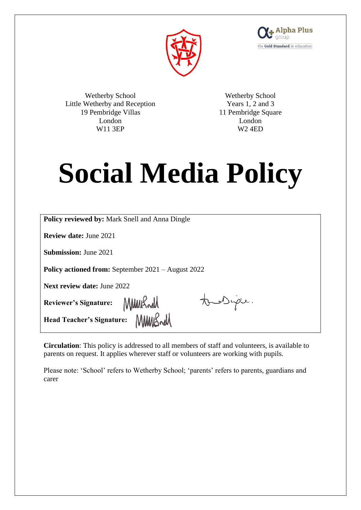



Wetherby School Little Wetherby and Reception 19 Pembridge Villas London W11 3EP

Wetherby School Years 1, 2 and 3 11 Pembridge Square London W2 4ED

# **Social Media Policy**

| <b>Policy reviewed by: Mark Snell and Anna Dingle</b>     |
|-----------------------------------------------------------|
| <b>Review date: June 2021</b>                             |
| <b>Submission: June 2021</b>                              |
| <b>Policy actioned from:</b> September 2021 – August 2022 |
| <b>Next review date: June 2022</b>                        |
| tous Diple.<br>Reviewer's Signature:<br>MMMRrell          |
| Figure 1.1 Figure 1.1 Figure 1.1 Figure 1.1 $\frac{1}{2}$ |

**Circulation**: This policy is addressed to all members of staff and volunteers, is available to parents on request. It applies wherever staff or volunteers are working with pupils.

Please note: 'School' refers to Wetherby School; 'parents' refers to parents, guardians and carer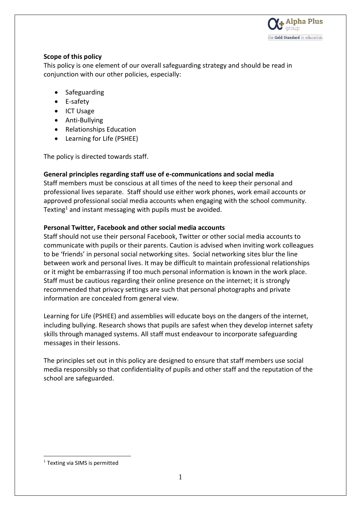

## **Scope of this policy**

This policy is one element of our overall safeguarding strategy and should be read in conjunction with our other policies, especially:

- Safeguarding
- E-safety
- ICT Usage
- Anti-Bullying
- Relationships Education
- Learning for Life (PSHEE)

The policy is directed towards staff.

## **General principles regarding staff use of e-communications and social media**

Staff members must be conscious at all times of the need to keep their personal and professional lives separate. Staff should use either work phones, work email accounts or approved professional social media accounts when engaging with the school community. Texting<sup>1</sup> and instant messaging with pupils must be avoided.

## **Personal Twitter, Facebook and other social media accounts**

Staff should not use their personal Facebook, Twitter or other social media accounts to communicate with pupils or their parents. Caution is advised when inviting work colleagues to be 'friends' in personal social networking sites. Social networking sites blur the line between work and personal lives. It may be difficult to maintain professional relationships or it might be embarrassing if too much personal information is known in the work place. Staff must be cautious regarding their online presence on the internet; it is strongly recommended that privacy settings are such that personal photographs and private information are concealed from general view.

Learning for Life (PSHEE) and assemblies will educate boys on the dangers of the internet, including bullying. Research shows that pupils are safest when they develop internet safety skills through managed systems. All staff must endeavour to incorporate safeguarding messages in their lessons.

The principles set out in this policy are designed to ensure that staff members use social media responsibly so that confidentiality of pupils and other staff and the reputation of the school are safeguarded.

-

<sup>&</sup>lt;sup>1</sup> Texting via SIMS is permitted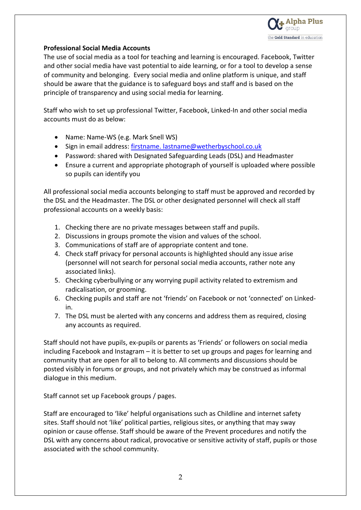

## **Professional Social Media Accounts**

The use of social media as a tool for teaching and learning is encouraged. Facebook, Twitter and other social media have vast potential to aide learning, or for a tool to develop a sense of community and belonging. Every social media and online platform is unique, and staff should be aware that the guidance is to safeguard boys and staff and is based on the principle of transparency and using social media for learning.

Staff who wish to set up professional Twitter, Facebook, Linked-In and other social media accounts must do as below:

- Name: Name-WS (e.g. Mark Snell WS)
- Sign in email address: [firstname. lastname@wetherbyschool.co.uk](mailto:firstname.%20lastname@wetherbyschool.co.uk)
- Password: shared with Designated Safeguarding Leads (DSL) and Headmaster
- Ensure a current and appropriate photograph of yourself is uploaded where possible so pupils can identify you

All professional social media accounts belonging to staff must be approved and recorded by the DSL and the Headmaster. The DSL or other designated personnel will check all staff professional accounts on a weekly basis:

- 1. Checking there are no private messages between staff and pupils.
- 2. Discussions in groups promote the vision and values of the school.
- 3. Communications of staff are of appropriate content and tone.
- 4. Check staff privacy for personal accounts is highlighted should any issue arise (personnel will not search for personal social media accounts, rather note any associated links).
- 5. Checking cyberbullying or any worrying pupil activity related to extremism and radicalisation, or grooming.
- 6. Checking pupils and staff are not 'friends' on Facebook or not 'connected' on Linkedin.
- 7. The DSL must be alerted with any concerns and address them as required, closing any accounts as required.

Staff should not have pupils, ex-pupils or parents as 'Friends' or followers on social media including Facebook and Instagram – it is better to set up groups and pages for learning and community that are open for all to belong to. All comments and discussions should be posted visibly in forums or groups, and not privately which may be construed as informal dialogue in this medium.

Staff cannot set up Facebook groups / pages.

Staff are encouraged to 'like' helpful organisations such as Childline and internet safety sites. Staff should not 'like' political parties, religious sites, or anything that may sway opinion or cause offense. Staff should be aware of the Prevent procedures and notify the DSL with any concerns about radical, provocative or sensitive activity of staff, pupils or those associated with the school community.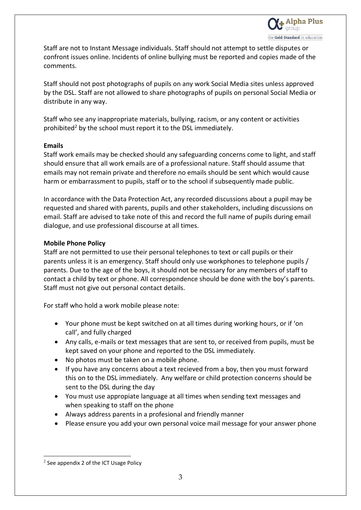Staff are not to Instant Message individuals. Staff should not attempt to settle disputes or confront issues online. Incidents of online bullying must be reported and copies made of the comments.

Staff should not post photographs of pupils on any work Social Media sites unless approved by the DSL. Staff are not allowed to share photographs of pupils on personal Social Media or distribute in any way.

Staff who see any inappropriate materials, bullying, racism, or any content or activities prohibited<sup>2</sup> by the school must report it to the DSL immediately.

#### **Emails**

Staff work emails may be checked should any safeguarding concerns come to light, and staff should ensure that all work emails are of a professional nature. Staff should assume that emails may not remain private and therefore no emails should be sent which would cause harm or embarrassment to pupils, staff or to the school if subsequently made public.

In accordance with the Data Protection Act, any recorded discussions about a pupil may be requested and shared with parents, pupils and other stakeholders, including discussions on email. Staff are advised to take note of this and record the full name of pupils during email dialogue, and use professional discourse at all times.

## **Mobile Phone Policy**

Staff are not permitted to use their personal telephones to text or call pupils or their parents unless it is an emergency. Staff should only use workphones to telephone pupils / parents. Due to the age of the boys, it should not be necssary for any members of staff to contact a child by text or phone. All correspondence should be done with the boy's parents. Staff must not give out personal contact details.

For staff who hold a work mobile please note:

- Your phone must be kept switched on at all times during working hours, or if 'on call', and fully charged
- Any calls, e-mails or text messages that are sent to, or received from pupils, must be kept saved on your phone and reported to the DSL immediately.
- No photos must be taken on a mobile phone.
- If you have any concerns about a text recieved from a boy, then you must forward this on to the DSL immediately. Any welfare or child protection concerns should be sent to the DSL during the day
- You must use appropiate language at all times when sending text messages and when speaking to staff on the phone
- Always address parents in a profesional and friendly manner
- Please ensure you add your own personal voice mail message for your answer phone

-

 $2$  See appendix 2 of the ICT Usage Policy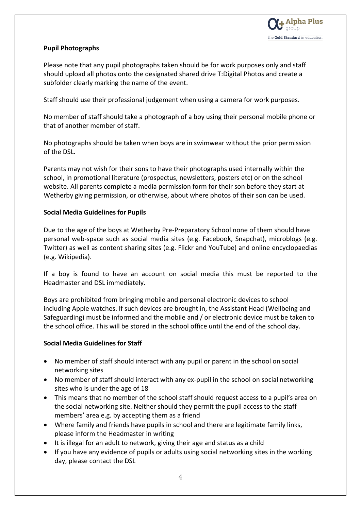# **Pupil Photographs**

Please note that any pupil photographs taken should be for work purposes only and staff should upload all photos onto the designated shared drive T:Digital Photos and create a subfolder clearly marking the name of the event.

Staff should use their professional judgement when using a camera for work purposes.

No member of staff should take a photograph of a boy using their personal mobile phone or that of another member of staff.

No photographs should be taken when boys are in swimwear without the prior permission of the DSL.

Parents may not wish for their sons to have their photographs used internally within the school, in promotional literature (prospectus, newsletters, posters etc) or on the school website. All parents complete a media permission form for their son before they start at Wetherby giving permission, or otherwise, about where photos of their son can be used.

## **Social Media Guidelines for Pupils**

Due to the age of the boys at Wetherby Pre-Preparatory School none of them should have personal web-space such as social media sites (e.g. Facebook, Snapchat), microblogs (e.g. Twitter) as well as content sharing sites (e.g. Flickr and YouTube) and online encyclopaedias (e.g. Wikipedia).

If a boy is found to have an account on social media this must be reported to the Headmaster and DSL immediately.

Boys are prohibited from bringing mobile and personal electronic devices to school including Apple watches. If such devices are brought in, the Assistant Head (Wellbeing and Safeguarding) must be informed and the mobile and / or electronic device must be taken to the school office. This will be stored in the school office until the end of the school day.

# **Social Media Guidelines for Staff**

- No member of staff should interact with any pupil or parent in the school on social networking sites
- No member of staff should interact with any ex-pupil in the school on social networking sites who is under the age of 18
- This means that no member of the school staff should request access to a pupil's area on the social networking site. Neither should they permit the pupil access to the staff members' area e.g. by accepting them as a friend
- Where family and friends have pupils in school and there are legitimate family links, please inform the Headmaster in writing
- It is illegal for an adult to network, giving their age and status as a child
- If you have any evidence of pupils or adults using social networking sites in the working day, please contact the DSL